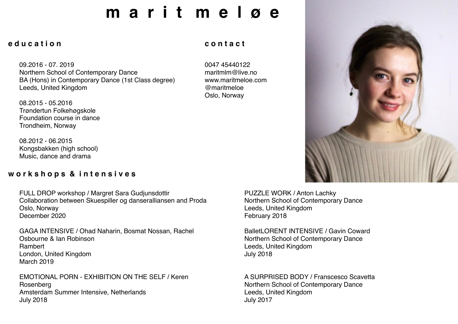# **m a r i t m e l ø e**

#### **e d u c a t i o n**

09.2016 - 07. 2019 Northern School of Contemporary Dance BA (Hons) in Contemporary Dance (1st Class degree) Leeds, United Kingdom

08.2015 - 05.2016 Trøndertun Folkehøgskole Foundation course in dance Trondheim, Norway

08.2012 - 06.2015 Kongsbakken (high school) Music, dance and drama

#### **w o r k s h o p s & i n t e n s i v e s**

FULL DROP workshop / Margret Sara Gudjunsdottir Collaboration between Skuespiller og danseralliansen and Proda Oslo, Norway December 2020

GAGA INTENSIVE / Ohad Naharin, Bosmat Nossan, Rachel Osbourne & Ian Robinson Rambert London, United Kingdom March 2019

EMOTIONAL PORN - EXHIBITION ON THE SELF / Keren Rosenberg Amsterdam Summer Intensive, Netherlands July 2018

#### **c o n t a c t**

0047 45440122 [maritmlm@live.no](mailto:maritmlm@live.no) [www.maritmeloe.com](http://www.maritmeloe.com) @maritmeloe Oslo, Norway



BalletLORENT INTENSIVE / Gavin Coward Northern School of Contemporary Dance Leeds, United Kingdom July 2018

A SURPRISED BODY / Franscesco Scavetta Northern School of Contemporary Dance Leeds, United Kingdom July 2017